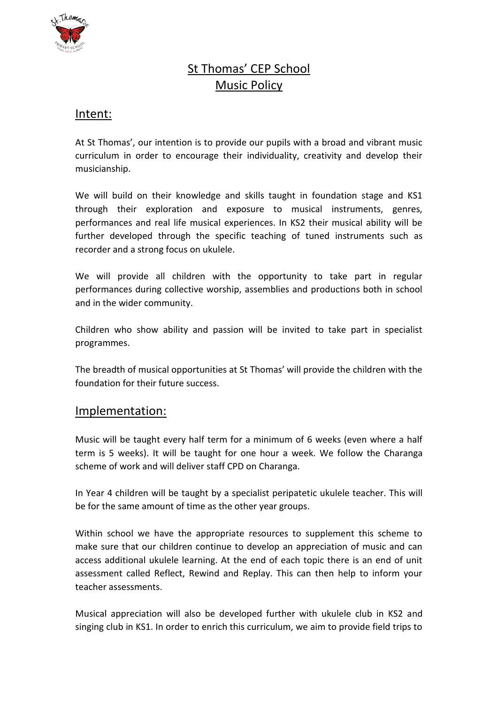

# St Thomas' CEP School Music Policy

# Intent:

At St Thomas', our intention is to provide our pupils with a broad and vibrant music curriculum in order to encourage their individuality, creativity and develop their musicianship.

We will build on their knowledge and skills taught in foundation stage and KS1 through their exploration and exposure to musical instruments, genres, performances and real life musical experiences. In KS2 their musical ability will be further developed through the specific teaching of tuned instruments such as recorder and a strong focus on ukulele.

We will provide all children with the opportunity to take part in regular performances during collective worship, assemblies and productions both in school and in the wider community.

Children who show ability and passion will be invited to take part in specialist programmes.

The breadth of musical opportunities at St Thomas' will provide the children with the foundation for their future success.

# Implementation:

Music will be taught every half term for a minimum of 6 weeks (even where a half term is 5 weeks). It will be taught for one hour a week. We follow the Charanga scheme of work and will deliver staff CPD on Charanga.

In Year 4 children will be taught by a specialist peripatetic ukulele teacher. This will be for the same amount of time as the other year groups.

Within school we have the appropriate resources to supplement this scheme to make sure that our children continue to develop an appreciation of music and can access additional ukulele learning. At the end of each topic there is an end of unit assessment called Reflect, Rewind and Replay. This can then help to inform your teacher assessments.

Musical appreciation will also be developed further with ukulele club in KS2 and singing club in KS1. In order to enrich this curriculum, we aim to provide field trips to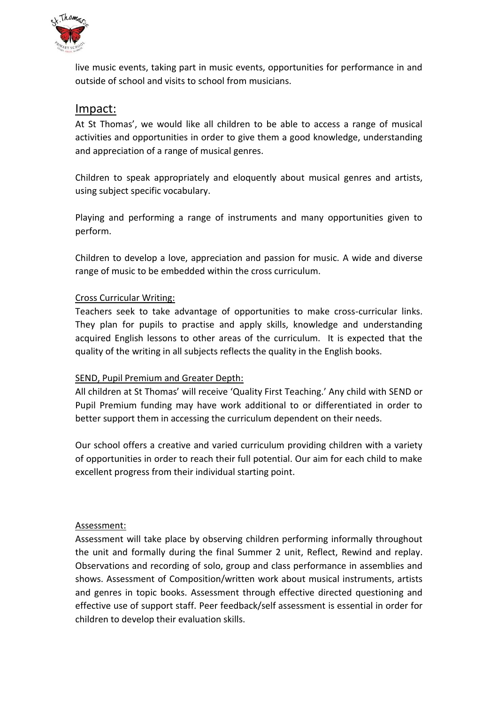

live music events, taking part in music events, opportunities for performance in and outside of school and visits to school from musicians.

# Impact:

At St Thomas', we would like all children to be able to access a range of musical activities and opportunities in order to give them a good knowledge, understanding and appreciation of a range of musical genres.

Children to speak appropriately and eloquently about musical genres and artists, using subject specific vocabulary.

Playing and performing a range of instruments and many opportunities given to perform.

Children to develop a love, appreciation and passion for music. A wide and diverse range of music to be embedded within the cross curriculum.

#### Cross Curricular Writing:

Teachers seek to take advantage of opportunities to make cross-curricular links. They plan for pupils to practise and apply skills, knowledge and understanding acquired English lessons to other areas of the curriculum. It is expected that the quality of the writing in all subjects reflects the quality in the English books.

#### SEND, Pupil Premium and Greater Depth:

All children at St Thomas' will receive 'Quality First Teaching.' Any child with SEND or Pupil Premium funding may have work additional to or differentiated in order to better support them in accessing the curriculum dependent on their needs.

Our school offers a creative and varied curriculum providing children with a variety of opportunities in order to reach their full potential. Our aim for each child to make excellent progress from their individual starting point.

#### Assessment:

Assessment will take place by observing children performing informally throughout the unit and formally during the final Summer 2 unit, Reflect, Rewind and replay. Observations and recording of solo, group and class performance in assemblies and shows. Assessment of Composition/written work about musical instruments, artists and genres in topic books. Assessment through effective directed questioning and effective use of support staff. Peer feedback/self assessment is essential in order for children to develop their evaluation skills.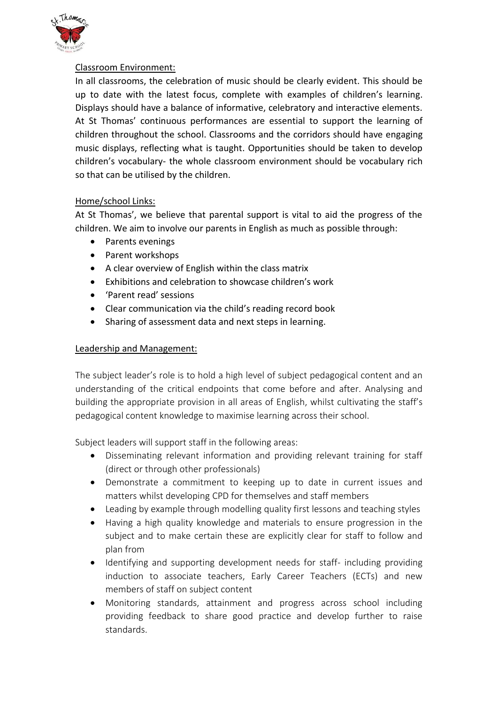

#### Classroom Environment:

In all classrooms, the celebration of music should be clearly evident. This should be up to date with the latest focus, complete with examples of children's learning. Displays should have a balance of informative, celebratory and interactive elements. At St Thomas' continuous performances are essential to support the learning of children throughout the school. Classrooms and the corridors should have engaging music displays, reflecting what is taught. Opportunities should be taken to develop children's vocabulary- the whole classroom environment should be vocabulary rich so that can be utilised by the children.

### Home/school Links:

At St Thomas', we believe that parental support is vital to aid the progress of the children. We aim to involve our parents in English as much as possible through:

- Parents evenings
- Parent workshops
- A clear overview of English within the class matrix
- Exhibitions and celebration to showcase children's work
- 'Parent read' sessions
- Clear communication via the child's reading record book
- Sharing of assessment data and next steps in learning.

#### Leadership and Management:

The subject leader's role is to hold a high level of subject pedagogical content and an understanding of the critical endpoints that come before and after. Analysing and building the appropriate provision in all areas of English, whilst cultivating the staff's pedagogical content knowledge to maximise learning across their school.

Subject leaders will support staff in the following areas:

- Disseminating relevant information and providing relevant training for staff (direct or through other professionals)
- Demonstrate a commitment to keeping up to date in current issues and matters whilst developing CPD for themselves and staff members
- Leading by example through modelling quality first lessons and teaching styles
- Having a high quality knowledge and materials to ensure progression in the subject and to make certain these are explicitly clear for staff to follow and plan from
- Identifying and supporting development needs for staff- including providing induction to associate teachers, Early Career Teachers (ECTs) and new members of staff on subject content
- Monitoring standards, attainment and progress across school including providing feedback to share good practice and develop further to raise standards.